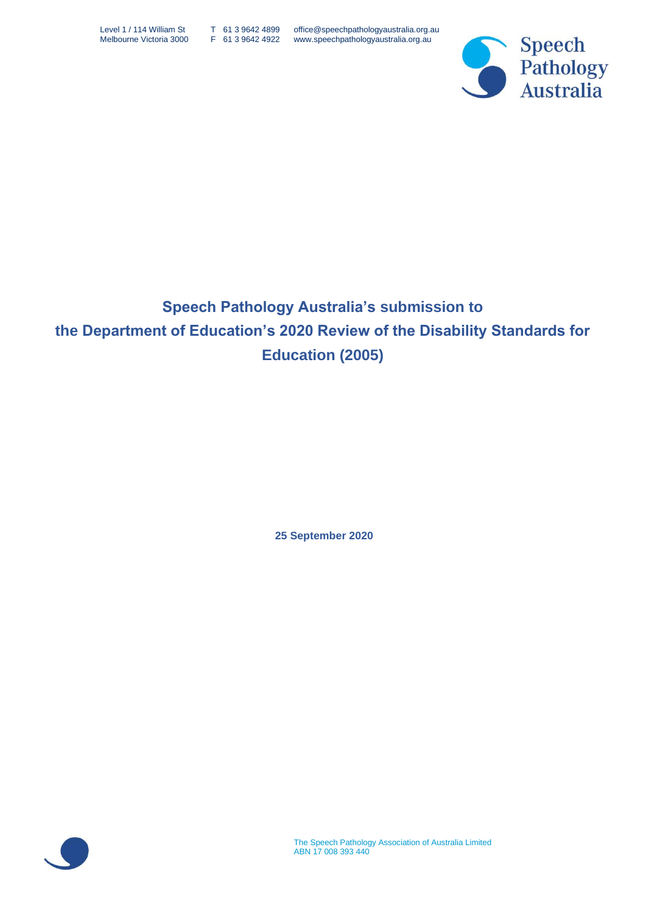

# **Speech Pathology Australia's submission to the Department of Education's 2020 Review of the Disability Standards for Education (2005)**

**25 September 2020**

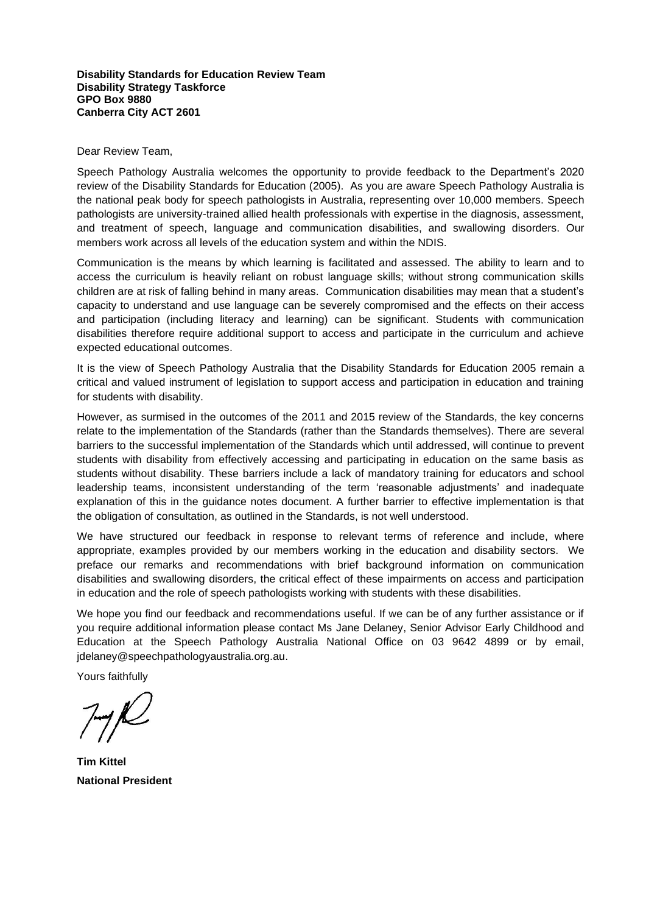#### **Disability Standards for Education Review Team Disability Strategy Taskforce GPO Box 9880 Canberra City ACT 2601**

#### Dear Review Team,

Speech Pathology Australia welcomes the opportunity to provide feedback to the Department's 2020 review of the Disability Standards for Education (2005). As you are aware Speech Pathology Australia is the national peak body for speech pathologists in Australia, representing over 10,000 members. Speech pathologists are university-trained allied health professionals with expertise in the diagnosis, assessment, and treatment of speech, language and communication disabilities, and swallowing disorders. Our members work across all levels of the education system and within the NDIS.

Communication is the means by which learning is facilitated and assessed. The ability to learn and to access the curriculum is heavily reliant on robust language skills; without strong communication skills children are at risk of falling behind in many areas. Communication disabilities may mean that a student's capacity to understand and use language can be severely compromised and the effects on their access and participation (including literacy and learning) can be significant. Students with communication disabilities therefore require additional support to access and participate in the curriculum and achieve expected educational outcomes.

It is the view of Speech Pathology Australia that the Disability Standards for Education 2005 remain a critical and valued instrument of legislation to support access and participation in education and training for students with disability.

However, as surmised in the outcomes of the 2011 and 2015 review of the Standards, the key concerns relate to the implementation of the Standards (rather than the Standards themselves). There are several barriers to the successful implementation of the Standards which until addressed, will continue to prevent students with disability from effectively accessing and participating in education on the same basis as students without disability. These barriers include a lack of mandatory training for educators and school leadership teams, inconsistent understanding of the term 'reasonable adjustments' and inadequate explanation of this in the guidance notes document. A further barrier to effective implementation is that the obligation of consultation, as outlined in the Standards, is not well understood.

We have structured our feedback in response to relevant terms of reference and include, where appropriate, examples provided by our members working in the education and disability sectors. We preface our remarks and recommendations with brief background information on communication disabilities and swallowing disorders, the critical effect of these impairments on access and participation in education and the role of speech pathologists working with students with these disabilities.

We hope you find our feedback and recommendations useful. If we can be of any further assistance or if you require additional information please contact Ms Jane Delaney, Senior Advisor Early Childhood and Education at the Speech Pathology Australia National Office on 03 9642 4899 or by email, jdelane[y@speechpathologyaustralia.org.au.](mailto:agedcare@speechpathologyaustralia.org.au)

Yours faithfully

**Tim Kittel National President**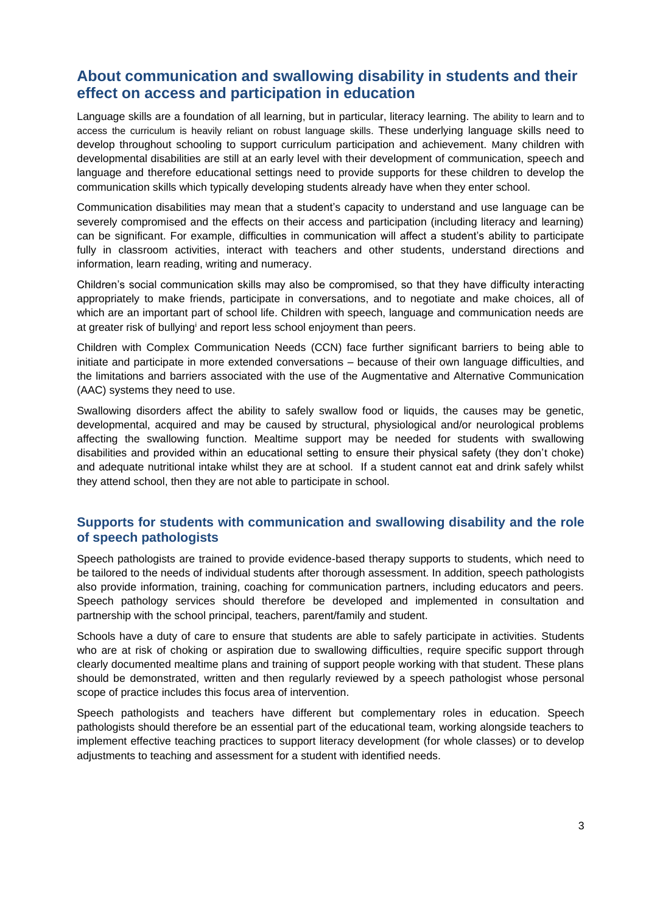# **About communication and swallowing disability in students and their effect on access and participation in education**

Language skills are a foundation of all learning, but in particular, literacy learning. The ability to learn and to access the curriculum is heavily reliant on robust language skills. These underlying language skills need to develop throughout schooling to support curriculum participation and achievement. Many children with developmental disabilities are still at an early level with their development of communication, speech and language and therefore educational settings need to provide supports for these children to develop the communication skills which typically developing students already have when they enter school.

Communication disabilities may mean that a student's capacity to understand and use language can be severely compromised and the effects on their access and participation (including literacy and learning) can be significant. For example, difficulties in communication will affect a student's ability to participate fully in classroom activities, interact with teachers and other students, understand directions and information, learn reading, writing and numeracy.

Children's social communication skills may also be compromised, so that they have difficulty interacting appropriately to make friends, participate in conversations, and to negotiate and make choices, all of which are an important part of school life. Children with speech, language and communication needs are at greater risk of bullying<sup>i</sup> and report less school enjoyment than peers.

Children with Complex Communication Needs (CCN) face further significant barriers to being able to initiate and participate in more extended conversations – because of their own language difficulties, and the limitations and barriers associated with the use of the Augmentative and Alternative Communication (AAC) systems they need to use.

Swallowing disorders affect the ability to safely swallow food or liquids, the causes may be genetic, developmental, acquired and may be caused by structural, physiological and/or neurological problems affecting the swallowing function. Mealtime support may be needed for students with swallowing disabilities and provided within an educational setting to ensure their physical safety (they don't choke) and adequate nutritional intake whilst they are at school. If a student cannot eat and drink safely whilst they attend school, then they are not able to participate in school.

# **Supports for students with communication and swallowing disability and the role of speech pathologists**

Speech pathologists are trained to provide evidence-based therapy supports to students, which need to be tailored to the needs of individual students after thorough assessment. In addition, speech pathologists also provide information, training, coaching for communication partners, including educators and peers. Speech pathology services should therefore be developed and implemented in consultation and partnership with the school principal, teachers, parent/family and student.

Schools have a duty of care to ensure that students are able to safely participate in activities. Students who are at risk of choking or aspiration due to swallowing difficulties, require specific support through clearly documented mealtime plans and training of support people working with that student. These plans should be demonstrated, written and then regularly reviewed by a speech pathologist whose personal scope of practice includes this focus area of intervention.

Speech pathologists and teachers have different but complementary roles in education. Speech pathologists should therefore be an essential part of the educational team, working alongside teachers to implement effective teaching practices to support literacy development (for whole classes) or to develop adjustments to teaching and assessment for a student with identified needs.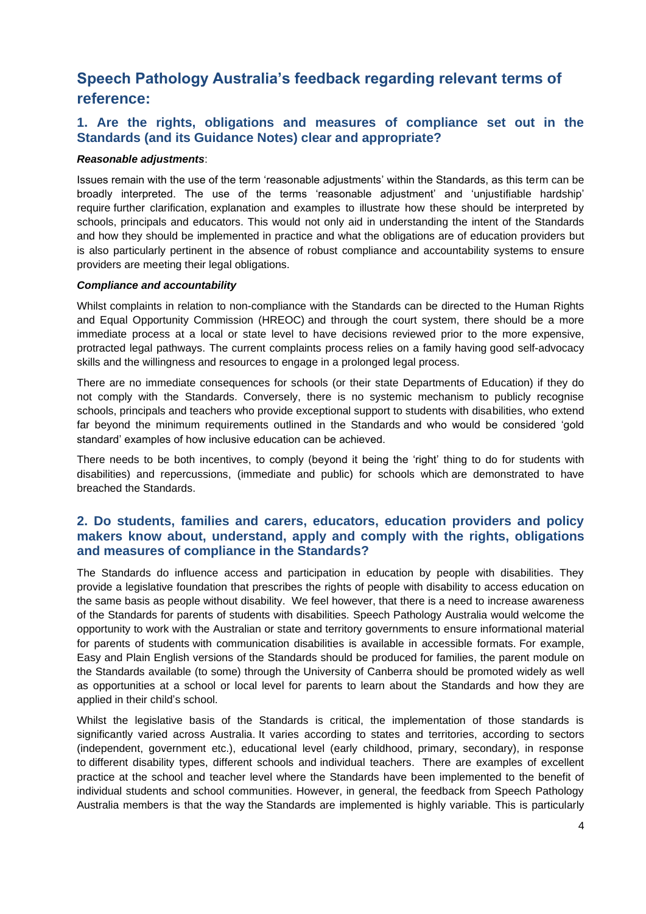# **Speech Pathology Australia's feedback regarding relevant terms of reference:**

## **1. Are the rights, obligations and measures of compliance set out in the Standards (and its Guidance Notes) clear and appropriate?**

#### *Reasonable adjustments*:

Issues remain with the use of the term 'reasonable adjustments' within the Standards, as this term can be broadly interpreted. The use of the terms 'reasonable adjustment' and 'unjustifiable hardship' require further clarification, explanation and examples to illustrate how these should be interpreted by schools, principals and educators. This would not only aid in understanding the intent of the Standards and how they should be implemented in practice and what the obligations are of education providers but is also particularly pertinent in the absence of robust compliance and accountability systems to ensure providers are meeting their legal obligations.

#### *Compliance and accountability*

Whilst complaints in relation to non-compliance with the Standards can be directed to the Human Rights and Equal Opportunity Commission (HREOC) and through the court system, there should be a more immediate process at a local or state level to have decisions reviewed prior to the more expensive, protracted legal pathways. The current complaints process relies on a family having good self-advocacy skills and the willingness and resources to engage in a prolonged legal process.

There are no immediate consequences for schools (or their state Departments of Education) if they do not comply with the Standards. Conversely, there is no systemic mechanism to publicly recognise schools, principals and teachers who provide exceptional support to students with disabilities, who extend far beyond the minimum requirements outlined in the Standards and who would be considered 'gold standard' examples of how inclusive education can be achieved.

There needs to be both incentives, to comply (beyond it being the 'right' thing to do for students with disabilities) and repercussions, (immediate and public) for schools which are demonstrated to have breached the Standards.

## **2. Do students, families and carers, educators, education providers and policy makers know about, understand, apply and comply with the rights, obligations and measures of compliance in the Standards?**

The Standards do influence access and participation in education by people with disabilities. They provide a legislative foundation that prescribes the rights of people with disability to access education on the same basis as people without disability. We feel however, that there is a need to increase awareness of the Standards for parents of students with disabilities. Speech Pathology Australia would welcome the opportunity to work with the Australian or state and territory governments to ensure informational material for parents of students with communication disabilities is available in accessible formats. For example, Easy and Plain English versions of the Standards should be produced for families, the parent module on the Standards available (to some) through the University of Canberra should be promoted widely as well as opportunities at a school or local level for parents to learn about the Standards and how they are applied in their child's school.

Whilst the legislative basis of the Standards is critical, the implementation of those standards is significantly varied across Australia. It varies according to states and territories, according to sectors (independent, government etc.), educational level (early childhood, primary, secondary), in response to different disability types, different schools and individual teachers. There are examples of excellent practice at the school and teacher level where the Standards have been implemented to the benefit of individual students and school communities. However, in general, the feedback from Speech Pathology Australia members is that the way the Standards are implemented is highly variable. This is particularly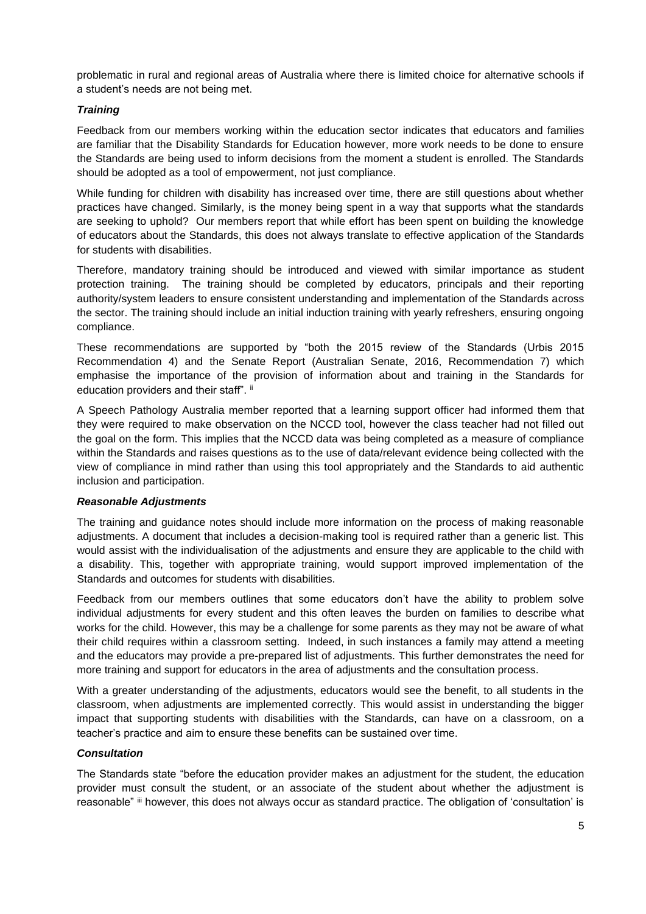problematic in rural and regional areas of Australia where there is limited choice for alternative schools if a student's needs are not being met.

#### *Training*

Feedback from our members working within the education sector indicates that educators and families are familiar that the Disability Standards for Education however, more work needs to be done to ensure the Standards are being used to inform decisions from the moment a student is enrolled. The Standards should be adopted as a tool of empowerment, not just compliance.

While funding for children with disability has increased over time, there are still questions about whether practices have changed. Similarly, is the money being spent in a way that supports what the standards are seeking to uphold? Our members report that while effort has been spent on building the knowledge of educators about the Standards, this does not always translate to effective application of the Standards for students with disabilities.

Therefore, mandatory training should be introduced and viewed with similar importance as student protection training. The training should be completed by educators, principals and their reporting authority/system leaders to ensure consistent understanding and implementation of the Standards across the sector. The training should include an initial induction training with yearly refreshers, ensuring ongoing compliance.

These recommendations are supported by "both the 2015 review of the Standards (Urbis 2015 Recommendation 4) and the Senate Report (Australian Senate, 2016, Recommendation 7) which emphasise the importance of the provision of information about and training in the Standards for education providers and their staff". ii

A Speech Pathology Australia member reported that a learning support officer had informed them that they were required to make observation on the NCCD tool, however the class teacher had not filled out the goal on the form. This implies that the NCCD data was being completed as a measure of compliance within the Standards and raises questions as to the use of data/relevant evidence being collected with the view of compliance in mind rather than using this tool appropriately and the Standards to aid authentic inclusion and participation.

#### *Reasonable Adjustments*

The training and guidance notes should include more information on the process of making reasonable adjustments. A document that includes a decision-making tool is required rather than a generic list. This would assist with the individualisation of the adjustments and ensure they are applicable to the child with a disability. This, together with appropriate training, would support improved implementation of the Standards and outcomes for students with disabilities.

Feedback from our members outlines that some educators don't have the ability to problem solve individual adjustments for every student and this often leaves the burden on families to describe what works for the child. However, this may be a challenge for some parents as they may not be aware of what their child requires within a classroom setting. Indeed, in such instances a family may attend a meeting and the educators may provide a pre-prepared list of adjustments. This further demonstrates the need for more training and support for educators in the area of adjustments and the consultation process.

With a greater understanding of the adjustments, educators would see the benefit, to all students in the classroom, when adjustments are implemented correctly. This would assist in understanding the bigger impact that supporting students with disabilities with the Standards, can have on a classroom, on a teacher's practice and aim to ensure these benefits can be sustained over time.

#### *Consultation*

The Standards state "before the education provider makes an adjustment for the student, the education provider must consult the student, or an associate of the student about whether the adjustment is reasonable" iii however, this does not always occur as standard practice. The obligation of 'consultation' is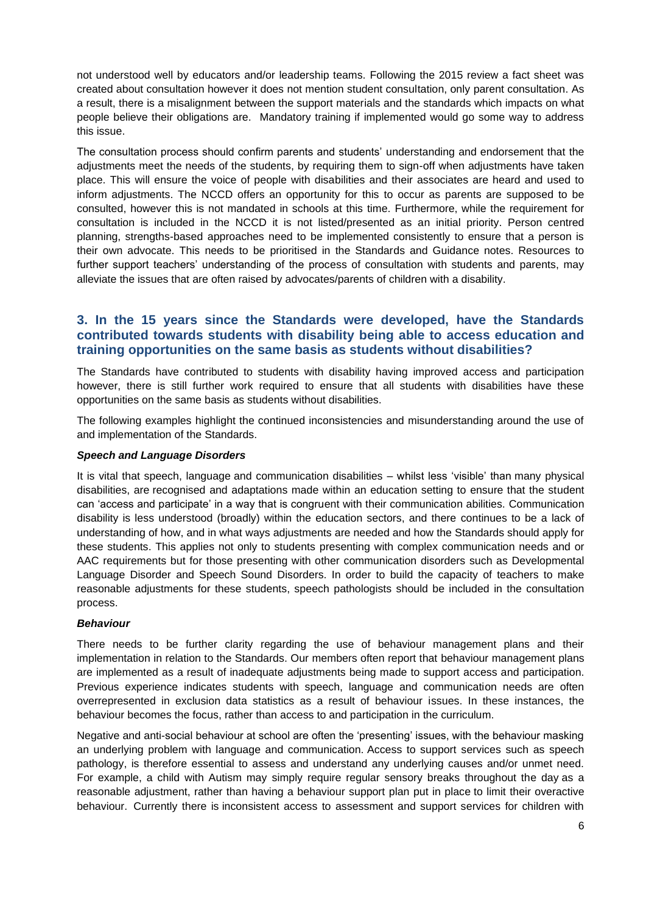not understood well by educators and/or leadership teams. Following the 2015 review a fact sheet was created about consultation however it does not mention student consultation, only parent consultation. As a result, there is a misalignment between the support materials and the standards which impacts on what people believe their obligations are. Mandatory training if implemented would go some way to address this issue.

The consultation process should confirm parents and students' understanding and endorsement that the adjustments meet the needs of the students, by requiring them to sign-off when adjustments have taken place. This will ensure the voice of people with disabilities and their associates are heard and used to inform adjustments. The NCCD offers an opportunity for this to occur as parents are supposed to be consulted, however this is not mandated in schools at this time. Furthermore, while the requirement for consultation is included in the NCCD it is not listed/presented as an initial priority. Person centred planning, strengths-based approaches need to be implemented consistently to ensure that a person is their own advocate. This needs to be prioritised in the Standards and Guidance notes. Resources to further support teachers' understanding of the process of consultation with students and parents, may alleviate the issues that are often raised by advocates/parents of children with a disability.

### **3. In the 15 years since the Standards were developed, have the Standards contributed towards students with disability being able to access education and training opportunities on the same basis as students without disabilities?**

The Standards have contributed to students with disability having improved access and participation however, there is still further work required to ensure that all students with disabilities have these opportunities on the same basis as students without disabilities.

The following examples highlight the continued inconsistencies and misunderstanding around the use of and implementation of the Standards.

#### *Speech and Language Disorders*

It is vital that speech, language and communication disabilities – whilst less 'visible' than many physical disabilities, are recognised and adaptations made within an education setting to ensure that the student can 'access and participate' in a way that is congruent with their communication abilities. Communication disability is less understood (broadly) within the education sectors, and there continues to be a lack of understanding of how, and in what ways adjustments are needed and how the Standards should apply for these students. This applies not only to students presenting with complex communication needs and or AAC requirements but for those presenting with other communication disorders such as Developmental Language Disorder and Speech Sound Disorders. In order to build the capacity of teachers to make reasonable adjustments for these students, speech pathologists should be included in the consultation process.

#### *Behaviour*

There needs to be further clarity regarding the use of behaviour management plans and their implementation in relation to the Standards. Our members often report that behaviour management plans are implemented as a result of inadequate adjustments being made to support access and participation. Previous experience indicates students with speech, language and communication needs are often overrepresented in exclusion data statistics as a result of behaviour issues. In these instances, the behaviour becomes the focus, rather than access to and participation in the curriculum.

Negative and anti-social behaviour at school are often the 'presenting' issues, with the behaviour masking an underlying problem with language and communication. Access to support services such as speech pathology, is therefore essential to assess and understand any underlying causes and/or unmet need. For example, a child with Autism may simply require regular sensory breaks throughout the day as a reasonable adjustment, rather than having a behaviour support plan put in place to limit their overactive behaviour. Currently there is inconsistent access to assessment and support services for children with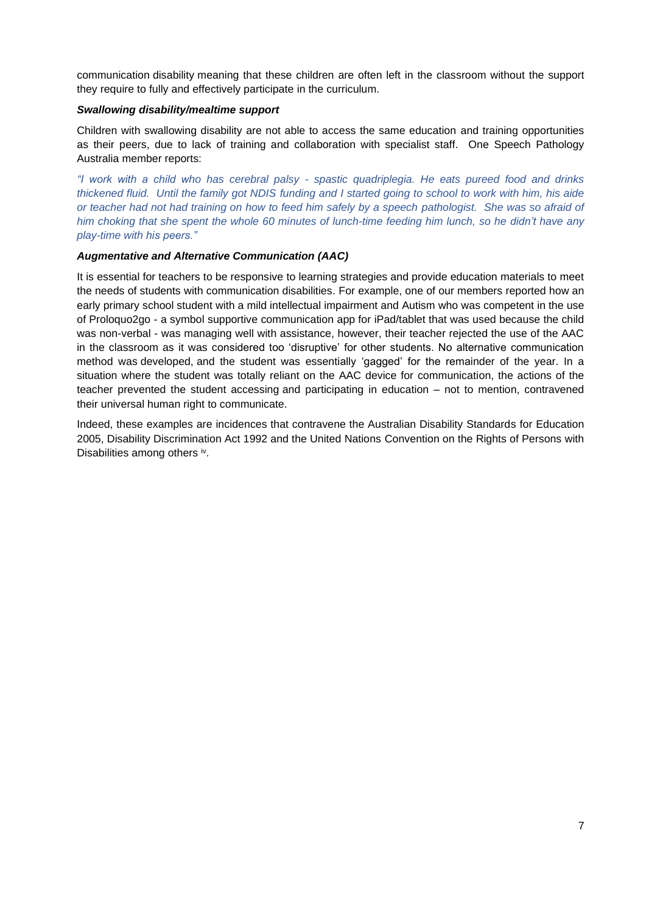communication disability meaning that these children are often left in the classroom without the support they require to fully and effectively participate in the curriculum.

#### *Swallowing disability/mealtime support*

Children with swallowing disability are not able to access the same education and training opportunities as their peers, due to lack of training and collaboration with specialist staff. One Speech Pathology Australia member reports:

*"I work with a child who has cerebral palsy - spastic quadriplegia. He eats pureed food and drinks thickened fluid. Until the family got NDIS funding and I started going to school to work with him, his aide or teacher had not had training on how to feed him safely by a speech pathologist. She was so afraid of him choking that she spent the whole 60 minutes of lunch-time feeding him lunch, so he didn't have any play-time with his peers."*

#### *Augmentative and Alternative Communication (AAC)*

It is essential for teachers to be responsive to learning strategies and provide education materials to meet the needs of students with communication disabilities. For example, one of our members reported how an early primary school student with a mild intellectual impairment and Autism who was competent in the use of Proloquo2go - a symbol supportive communication app for iPad/tablet that was used because the child was non-verbal - was managing well with assistance, however, their teacher rejected the use of the AAC in the classroom as it was considered too 'disruptive' for other students. No alternative communication method was developed, and the student was essentially 'gagged' for the remainder of the year. In a situation where the student was totally reliant on the AAC device for communication, the actions of the teacher prevented the student accessing and participating in education – not to mention, contravened their universal human right to communicate.

Indeed, these examples are incidences that contravene the Australian Disability Standards for Education 2005, Disability Discrimination Act 1992 and the United Nations Convention on the Rights of Persons with Disabilities among others iv.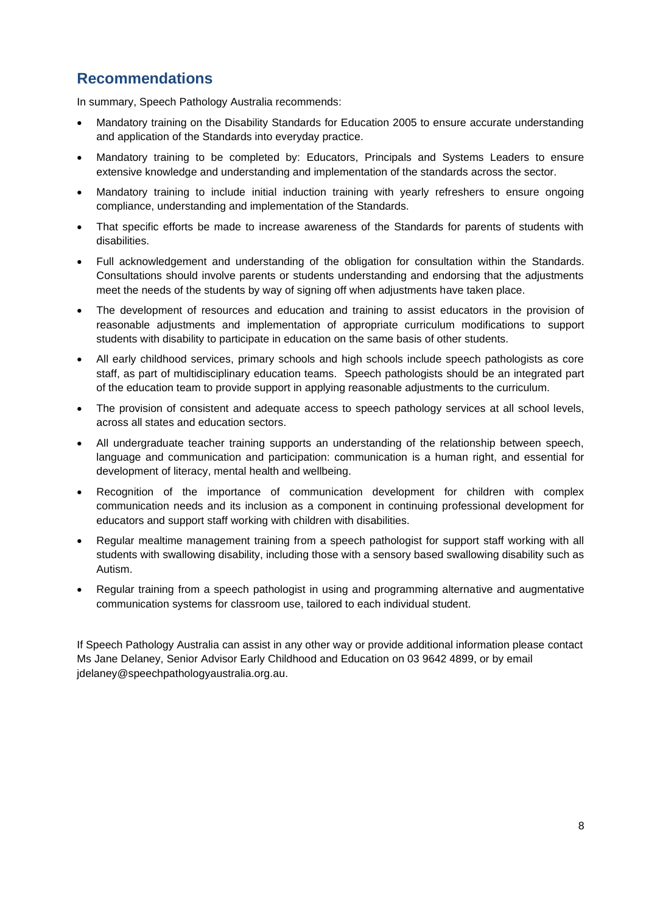# **Recommendations**

In summary, Speech Pathology Australia recommends:

- Mandatory training on the Disability Standards for Education 2005 to ensure accurate understanding and application of the Standards into everyday practice.
- Mandatory training to be completed by: Educators, Principals and Systems Leaders to ensure extensive knowledge and understanding and implementation of the standards across the sector.
- Mandatory training to include initial induction training with yearly refreshers to ensure ongoing compliance, understanding and implementation of the Standards.
- That specific efforts be made to increase awareness of the Standards for parents of students with disabilities.
- Full acknowledgement and understanding of the obligation for consultation within the Standards. Consultations should involve parents or students understanding and endorsing that the adjustments meet the needs of the students by way of signing off when adjustments have taken place.
- The development of resources and education and training to assist educators in the provision of reasonable adjustments and implementation of appropriate curriculum modifications to support students with disability to participate in education on the same basis of other students.
- All early childhood services, primary schools and high schools include speech pathologists as core staff, as part of multidisciplinary education teams. Speech pathologists should be an integrated part of the education team to provide support in applying reasonable adjustments to the curriculum.
- The provision of consistent and adequate access to speech pathology services at all school levels, across all states and education sectors.
- All undergraduate teacher training supports an understanding of the relationship between speech, language and communication and participation: communication is a human right, and essential for development of literacy, mental health and wellbeing.
- Recognition of the importance of communication development for children with complex communication needs and its inclusion as a component in continuing professional development for educators and support staff working with children with disabilities.
- Regular mealtime management training from a speech pathologist for support staff working with all students with swallowing disability, including those with a sensory based swallowing disability such as Autism.
- Regular training from a speech pathologist in using and programming alternative and augmentative communication systems for classroom use, tailored to each individual student.

If Speech Pathology Australia can assist in any other way or provide additional information please contact Ms Jane Delaney, Senior Advisor Early Childhood and Education on 03 9642 4899, or by email jdelane[y@speechpathologyaustralia.org.au.](mailto:agedcare@speechpathologyaustralia.org.au)